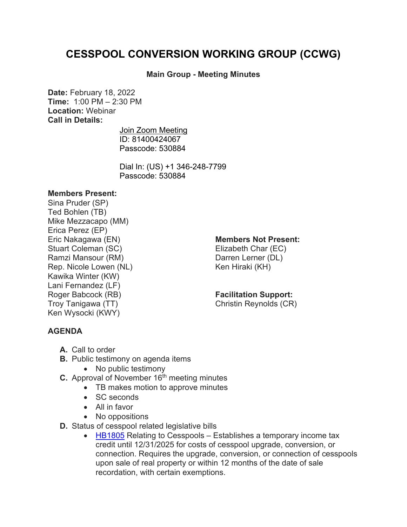# **CESSPOOL CONVERSION WORKING GROUP (CCWG)**

## **Main Group - Meeting Minutes**

**Date:** February 18, 2022 **Time:** 1:00 PM – 2:30 PM **Location:** Webinar **Call in Details:**

> [Join Zoom Meeting](https://www.google.com/url?q=https://us02web.zoom.us/j/81400424067?pwd%3DUDdkbWx4RURwQm1lWk94TUpKUXFEUT09&sa=D&source=calendar&ust=1644445875434910&usg=AOvVaw1CMUgpitJvC5A-1dCOsYVH) ID: 81400424067 Passcode: 530884

Dial In: [\(US\) +1 346-248-7799](tel:+13462487799,,81400424067) Passcode: 530884

#### **Members Present:**

Sina Pruder (SP) Ted Bohlen (TB) Mike Mezzacapo (MM) Erica Perez (EP) Eric Nakagawa (EN) Stuart Coleman (SC) Ramzi Mansour (RM) Rep. Nicole Lowen (NL) Kawika Winter (KW) Lani Fernandez (LF) Roger Babcock (RB) Troy Tanigawa (TT) Ken Wysocki (KWY)

#### **Members Not Present:**

Elizabeth Char (EC) Darren Lerner (DL) Ken Hiraki (KH)

### **Facilitation Support:**

Christin Reynolds (CR)

# **AGENDA**

- **A.** Call to order
- **B.** Public testimony on agenda items
	- No public testimony
- **C.** Approval of November 16<sup>th</sup> meeting minutes
	- TB makes motion to approve minutes
	- SC seconds
	- All in favor
	- No oppositions
- **D.** Status of cesspool related legislative bills
	- [HB1805](https://www.capitol.hawaii.gov/measure_indiv.aspx?billtype=HB&billnumber=1805&year=2022) Relating to Cesspools Establishes a temporary income tax credit until 12/31/2025 for costs of cesspool upgrade, conversion, or connection. Requires the upgrade, conversion, or connection of cesspools upon sale of real property or within 12 months of the date of sale recordation, with certain exemptions.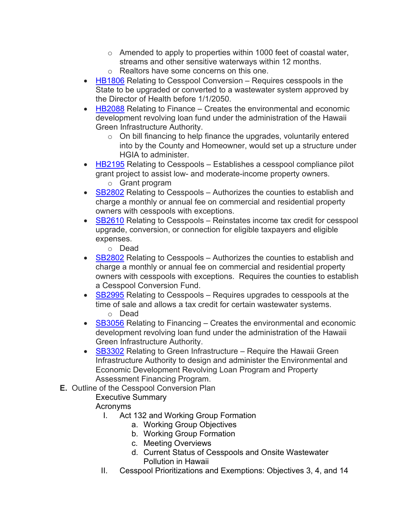- $\circ$  Amended to apply to properties within 1000 feet of coastal water, streams and other sensitive waterways within 12 months.
- o Realtors have some concerns on this one.
- [HB1806](https://www.capitol.hawaii.gov/measure_indiv.aspx?billtype=HB&billnumber=1806&year=2022) Relating to Cesspool Conversion Requires cesspools in the State to be upgraded or converted to a wastewater system approved by the Director of Health before 1/1/2050.
- [HB2088](https://www.capitol.hawaii.gov/measure_indiv.aspx?billtype=HB&billnumber=2088&year=2022) Relating to Finance Creates the environmental and economic development revolving loan fund under the administration of the Hawaii Green Infrastructure Authority.
	- o On bill financing to help finance the upgrades, voluntarily entered into by the County and Homeowner, would set up a structure under HGIA to administer.
- $\bullet$  [HB2195](https://www.capitol.hawaii.gov/measure_indiv.aspx?billtype=HB&billnumber=2195&year=2022) Relating to Cesspools Establishes a cesspool compliance pilot grant project to assist low- and moderate-income property owners.
	- o Grant program
- [SB2802](https://www.capitol.hawaii.gov/measure_indiv.aspx?billtype=SB&billnumber=2802&year=2022) Relating to Cesspools Authorizes the counties to establish and charge a monthly or annual fee on commercial and residential property owners with cesspools with exceptions.
- [SB2610](https://www.capitol.hawaii.gov/measure_indiv.aspx?billtype=SB&billnumber=2610&year=2022) Relating to Cesspools Reinstates income tax credit for cesspool upgrade, conversion, or connection for eligible taxpayers and eligible expenses.
	- o Dead
- [SB2802](https://www.capitol.hawaii.gov/measure_indiv.aspx?billtype=SB&billnumber=2802&year=2022) Relating to Cesspools Authorizes the counties to establish and charge a monthly or annual fee on commercial and residential property owners with cesspools with exceptions. Requires the counties to establish a Cesspool Conversion Fund.
- [SB2995](https://www.capitol.hawaii.gov/measure_indiv.aspx?billtype=SB&billnumber=2995&year=2022) Relating to Cesspools Requires upgrades to cesspools at the time of sale and allows a tax credit for certain wastewater systems.
	- o Dead
- [SB3056](https://www.capitol.hawaii.gov/measure_indiv.aspx?billtype=SB&billnumber=3056&year=2022) Relating to Financing Creates the environmental and economic development revolving loan fund under the administration of the Hawaii Green Infrastructure Authority.
- [SB3302](https://www.capitol.hawaii.gov/measure_indiv.aspx?billtype=SB&billnumber=3302&year=2022) Relating to Green Infrastructure Require the Hawaii Green Infrastructure Authority to design and administer the Environmental and Economic Development Revolving Loan Program and Property Assessment Financing Program.
- **E.** Outline of the Cesspool Conversion Plan

# Executive Summary

- Acronyms
	- I. Act 132 and Working Group Formation
		- a. Working Group Objectives
		- b. Working Group Formation
		- c. Meeting Overviews
		- d. Current Status of Cesspools and Onsite Wastewater Pollution in Hawaii
	- II. Cesspool Prioritizations and Exemptions: Objectives 3, 4, and 14